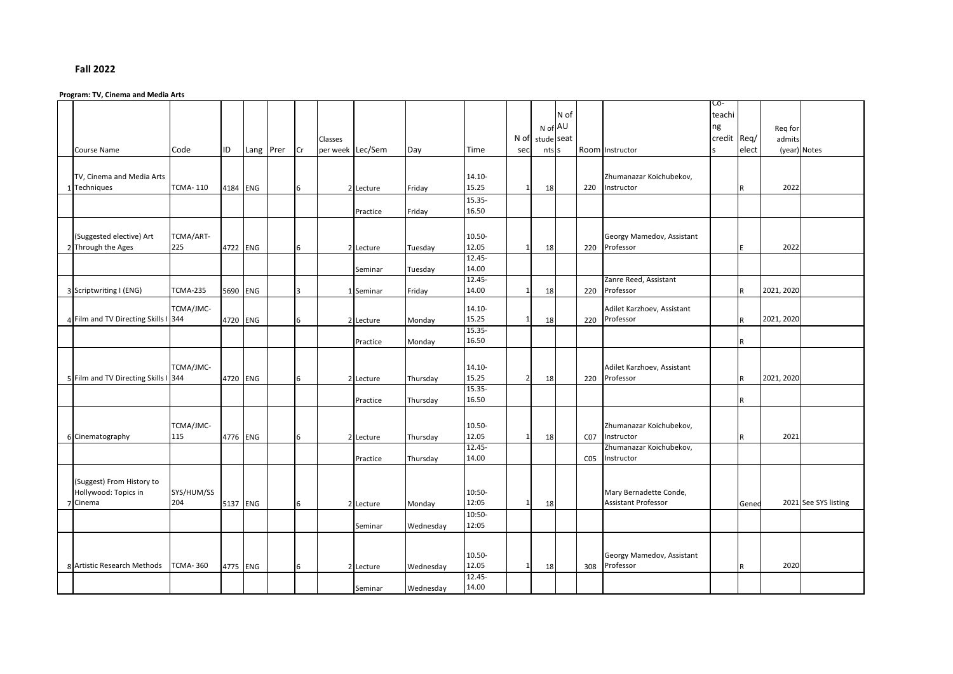## **Fall 2022**

## **Program: TV, Cinema and Media Arts**

|                                      |                 |          |           |                |                  |           |           |           |                |            |      |                 |                            | C0-         |              |            |                      |
|--------------------------------------|-----------------|----------|-----------|----------------|------------------|-----------|-----------|-----------|----------------|------------|------|-----------------|----------------------------|-------------|--------------|------------|----------------------|
|                                      |                 |          |           |                |                  |           |           |           |                |            | N of |                 |                            | teachi      |              |            |                      |
|                                      |                 |          |           |                |                  |           |           |           |                | N of AU    |      |                 |                            | ng          |              | Req for    |                      |
|                                      |                 |          |           |                | Classes          |           |           |           | N of           | stude seat |      |                 |                            | credit Req/ |              | admits     |                      |
| <b>Course Name</b>                   | Code            |          |           |                | per week Lec/Sem |           |           |           |                |            |      |                 |                            |             |              |            |                      |
|                                      |                 | ID       | Lang Prer | Cr             |                  |           | Day       | Time      | sec            | nts s      |      |                 | Room Instructor            |             | elect        |            | (year) Notes         |
|                                      |                 |          |           |                |                  |           |           |           |                |            |      |                 |                            |             |              |            |                      |
| TV, Cinema and Media Arts            |                 |          |           |                |                  |           |           | 14.10-    |                |            |      |                 | Zhumanazar Koichubekov,    |             |              |            |                      |
| Techniques<br>$\mathbf{1}$           | <b>TCMA-110</b> | 4184 ENG |           | 6              |                  | 2 Lecture | Friday    | 15.25     | $\mathbf{1}$   | 18         |      | 220             | Instructor                 |             | $\mathsf R$  | 2022       |                      |
|                                      |                 |          |           |                |                  |           |           | 15.35-    |                |            |      |                 |                            |             |              |            |                      |
|                                      |                 |          |           |                |                  |           |           | 16.50     |                |            |      |                 |                            |             |              |            |                      |
|                                      |                 |          |           |                |                  | Practice  | Friday    |           |                |            |      |                 |                            |             |              |            |                      |
|                                      |                 |          |           |                |                  |           |           |           |                |            |      |                 |                            |             |              |            |                      |
| (Suggested elective) Art             | TCMA/ART-       |          |           |                |                  |           |           | 10.50-    |                |            |      |                 | Georgy Mamedov, Assistant  |             |              |            |                      |
| 2 Through the Ages                   | 225             | 4722 ENG |           | 6              |                  | 2 Lecture | Tuesday   | 12.05     | $\mathbf{1}$   | 18         |      | 220             | Professor                  |             | E            | 2022       |                      |
|                                      |                 |          |           |                |                  |           |           | $12.45 -$ |                |            |      |                 |                            |             |              |            |                      |
|                                      |                 |          |           |                |                  | Seminar   | Tuesday   | 14.00     |                |            |      |                 |                            |             |              |            |                      |
|                                      |                 |          |           |                |                  |           |           | 12.45-    |                |            |      |                 | Zanre Reed, Assistant      |             |              |            |                      |
| 3 Scriptwriting I (ENG)              | <b>TCMA-235</b> | 5690 ENG |           | $\overline{3}$ |                  | 1 Seminar | Friday    | 14.00     | 1              | 18         |      | 220             | Professor                  |             | $\mathsf{R}$ | 2021, 2020 |                      |
|                                      |                 |          |           |                |                  |           |           |           |                |            |      |                 |                            |             |              |            |                      |
|                                      | TCMA/JMC-       |          |           |                |                  |           |           | $14.10 -$ |                |            |      |                 | Adilet Karzhoev, Assistant |             |              |            |                      |
| 4 Film and TV Directing Skills I 344 |                 | 4720 ENG |           | 6              |                  | 2 Lecture | Monday    | 15.25     | $\mathbf{1}$   | 18         |      | 220             | Professor                  |             | $\mathsf{R}$ | 2021, 2020 |                      |
|                                      |                 |          |           |                |                  |           |           | 15.35-    |                |            |      |                 |                            |             |              |            |                      |
|                                      |                 |          |           |                |                  | Practice  | Monday    | 16.50     |                |            |      |                 |                            |             | $\mathsf{R}$ |            |                      |
|                                      |                 |          |           |                |                  |           |           |           |                |            |      |                 |                            |             |              |            |                      |
|                                      |                 |          |           |                |                  |           |           |           |                |            |      |                 |                            |             |              |            |                      |
|                                      | TCMA/JMC-       |          |           |                |                  |           |           | 14.10-    |                |            |      |                 | Adilet Karzhoev, Assistant |             |              |            |                      |
| 5 Film and TV Directing Skills I 344 |                 | 4720 ENG |           | 6              |                  | 2 Lecture | Thursday  | 15.25     | $\overline{2}$ | 18         |      | 220             | Professor                  |             | $\mathsf{R}$ | 2021, 2020 |                      |
|                                      |                 |          |           |                |                  |           |           | 15.35-    |                |            |      |                 |                            |             |              |            |                      |
|                                      |                 |          |           |                |                  | Practice  | Thursday  | 16.50     |                |            |      |                 |                            |             | $\mathsf{R}$ |            |                      |
|                                      |                 |          |           |                |                  |           |           |           |                |            |      |                 |                            |             |              |            |                      |
|                                      | TCMA/JMC-       |          |           |                |                  |           |           | 10.50-    |                |            |      |                 | Zhumanazar Koichubekov,    |             |              |            |                      |
|                                      | 115             |          |           |                |                  |           |           | 12.05     | 1              |            |      |                 | Instructor                 |             |              | 2021       |                      |
| 6 Cinematography                     |                 | 4776 ENG |           | 6              |                  | 2 Lecture | Thursday  | $12.45 -$ |                | 18         |      | CO <sub>7</sub> |                            |             | $\mathsf R$  |            |                      |
|                                      |                 |          |           |                |                  |           |           |           |                |            |      |                 | Zhumanazar Koichubekov,    |             |              |            |                      |
|                                      |                 |          |           |                |                  | Practice  | Thursday  | 14.00     |                |            |      | CO <sub>5</sub> | Instructor                 |             |              |            |                      |
|                                      |                 |          |           |                |                  |           |           |           |                |            |      |                 |                            |             |              |            |                      |
| (Suggest) From History to            |                 |          |           |                |                  |           |           |           |                |            |      |                 |                            |             |              |            |                      |
| Hollywood: Topics in                 | SYS/HUM/SS      |          |           |                |                  |           |           | 10:50-    |                |            |      |                 | Mary Bernadette Conde,     |             |              |            |                      |
| Cinema<br>7                          | 204             | 5137 ENG |           | 6              |                  | 2 Lecture | Monday    | 12:05     | $\mathbf{1}$   | 18         |      |                 | <b>Assistant Professor</b> |             | Gened        |            | 2021 See SYS listing |
|                                      |                 |          |           |                |                  |           |           | $10:50-$  |                |            |      |                 |                            |             |              |            |                      |
|                                      |                 |          |           |                |                  | Seminar   | Wednesday | 12:05     |                |            |      |                 |                            |             |              |            |                      |
|                                      |                 |          |           |                |                  |           |           |           |                |            |      |                 |                            |             |              |            |                      |
|                                      |                 |          |           |                |                  |           |           |           |                |            |      |                 |                            |             |              |            |                      |
|                                      |                 |          |           |                |                  |           |           | 10.50-    |                |            |      |                 | Georgy Mamedov, Assistant  |             |              |            |                      |
| 8 Artistic Research Methods          | <b>TCMA-360</b> | 4775 ENG |           | 6              |                  | 2 Lecture | Wednesday | 12.05     | $\mathbf{1}$   | 18         |      | 308             | Professor                  |             | $\mathsf R$  | 2020       |                      |
|                                      |                 |          |           |                |                  |           |           | $12.45 -$ |                |            |      |                 |                            |             |              |            |                      |
|                                      |                 |          |           |                |                  | Seminar   | Wednesday | 14.00     |                |            |      |                 |                            |             |              |            |                      |
|                                      |                 |          |           |                |                  |           |           |           |                |            |      |                 |                            |             |              |            |                      |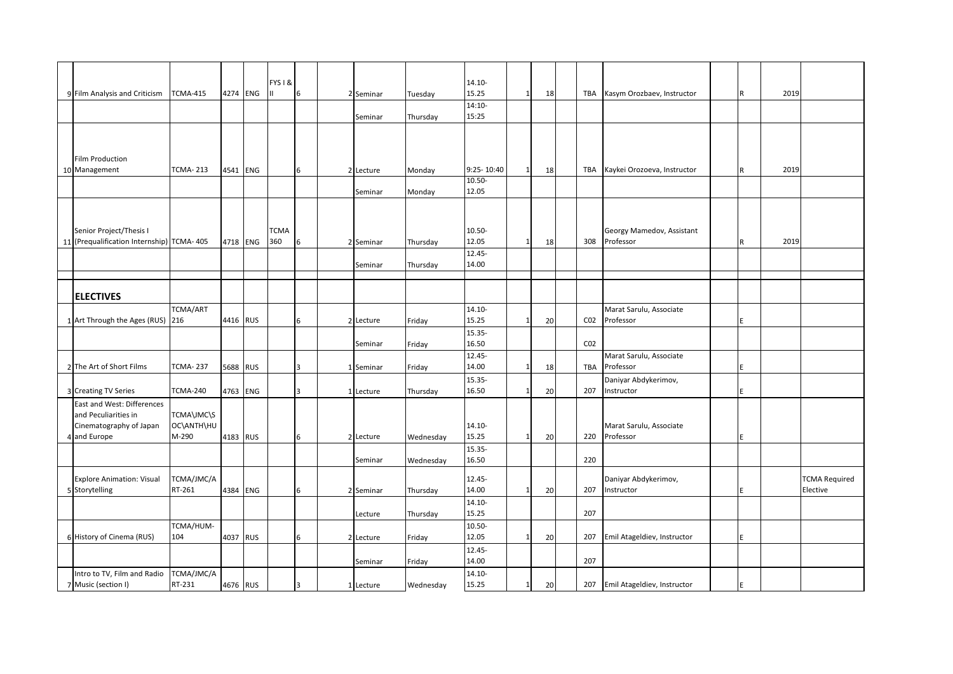|                                            |                 |          | FYS I & |                |              |           |           | $14.10 -$  |              |    |                 |                             |             |      |                      |
|--------------------------------------------|-----------------|----------|---------|----------------|--------------|-----------|-----------|------------|--------------|----|-----------------|-----------------------------|-------------|------|----------------------|
| 9 Film Analysis and Criticism              | <b>TCMA-415</b> | 4274 ENG | Ш       | 6              |              | 2 Seminar | Tuesday   | 15.25      | $1\vert$     | 18 | TBA             | Kasym Orozbaev, Instructor  | R           | 2019 |                      |
|                                            |                 |          |         |                |              |           |           | $14:10-$   |              |    |                 |                             |             |      |                      |
|                                            |                 |          |         |                |              | Seminar   | Thursday  | 15:25      |              |    |                 |                             |             |      |                      |
|                                            |                 |          |         |                |              |           |           |            |              |    |                 |                             |             |      |                      |
|                                            |                 |          |         |                |              |           |           |            |              |    |                 |                             |             |      |                      |
|                                            |                 |          |         |                |              |           |           |            |              |    |                 |                             |             |      |                      |
| Film Production                            |                 |          |         |                |              |           |           |            |              |    |                 |                             |             |      |                      |
| 10 Management                              | TCMA- 213       | 4541 ENG |         | 6              |              | 2 Lecture | Monday    | 9:25-10:40 | $\mathbf{1}$ | 18 | TBA             | Kaykei Orozoeva, Instructor | $\mathsf R$ | 2019 |                      |
|                                            |                 |          |         |                |              |           |           | $10.50 -$  |              |    |                 |                             |             |      |                      |
|                                            |                 |          |         |                |              | Seminar   | Monday    | 12.05      |              |    |                 |                             |             |      |                      |
|                                            |                 |          |         |                |              |           |           |            |              |    |                 |                             |             |      |                      |
|                                            |                 |          |         |                |              |           |           |            |              |    |                 |                             |             |      |                      |
|                                            |                 |          |         |                |              |           |           |            |              |    |                 |                             |             |      |                      |
| Senior Project/Thesis I                    |                 |          | TCMA    |                |              |           |           | 10.50-     |              |    |                 | Georgy Mamedov, Assistant   |             |      |                      |
| 11 (Prequalification Internship) TCMA- 405 |                 | 4718 ENG | 360     | 6              |              | 2 Seminar | Thursday  | 12.05      | $\mathbf{1}$ | 18 | 308             | Professor                   | R           | 2019 |                      |
|                                            |                 |          |         |                |              |           |           | 12.45-     |              |    |                 |                             |             |      |                      |
|                                            |                 |          |         |                |              | Seminar   | Thursday  | 14.00      |              |    |                 |                             |             |      |                      |
|                                            |                 |          |         |                |              |           |           |            |              |    |                 |                             |             |      |                      |
|                                            |                 |          |         |                |              |           |           |            |              |    |                 |                             |             |      |                      |
| <b>ELECTIVES</b>                           |                 |          |         |                |              |           |           |            |              |    |                 |                             |             |      |                      |
|                                            | TCMA/ART        |          |         |                |              |           |           | $14.10 -$  |              |    |                 | Marat Sarulu, Associate     |             |      |                      |
| 1 Art Through the Ages (RUS) 216           |                 | 4416 RUS |         | 6              |              | 2 Lecture | Friday    | 15.25      | $1\vert$     | 20 | CO <sub>2</sub> | Professor                   | E           |      |                      |
|                                            |                 |          |         |                |              |           |           | 15.35-     |              |    |                 |                             |             |      |                      |
|                                            |                 |          |         |                |              | Seminar   | Friday    | 16.50      |              |    | CO <sub>2</sub> |                             |             |      |                      |
|                                            |                 |          |         |                |              |           |           | 12.45-     |              |    |                 | Marat Sarulu, Associate     |             |      |                      |
| 2 The Art of Short Films                   | TCMA- 237       |          |         | 3              |              |           |           | 14.00      | $\mathbf{1}$ | 18 | TBA             | Professor                   | E           |      |                      |
|                                            |                 | 5688 RUS |         |                |              | 1 Seminar | Friday    |            |              |    |                 |                             |             |      |                      |
|                                            |                 |          |         |                |              |           |           | 15.35-     |              |    |                 | Daniyar Abdykerimov,        |             |      |                      |
| 3 Creating TV Series                       | <b>TCMA-240</b> | 4763 ENG |         | 3              | $\mathbf{1}$ | Lecture   | Thursday  | 16.50      | $\mathbf{1}$ | 20 | 207             | Instructor                  | E           |      |                      |
| East and West: Differences                 |                 |          |         |                |              |           |           |            |              |    |                 |                             |             |      |                      |
| and Peculiarities in                       | TCMA\JMC\S      |          |         |                |              |           |           |            |              |    |                 |                             |             |      |                      |
| Cinematography of Japan                    | OC\ANTH\HU      |          |         |                |              |           |           | $14.10 -$  |              |    |                 | Marat Sarulu, Associate     |             |      |                      |
| 4 and Europe                               | M-290           | 4183 RUS |         | 6              |              | 2 Lecture | Wednesday | 15.25      | $\mathbf{1}$ | 20 | 220             | Professor                   | F           |      |                      |
|                                            |                 |          |         |                |              |           |           | 15.35-     |              |    |                 |                             |             |      |                      |
|                                            |                 |          |         |                |              | Seminar   | Wednesday | 16.50      |              |    | 220             |                             |             |      |                      |
|                                            |                 |          |         |                |              |           |           |            |              |    |                 |                             |             |      |                      |
| <b>Explore Animation: Visual</b>           | TCMA/JMC/A      |          |         |                |              |           |           | 12.45-     |              |    |                 | Daniyar Abdykerimov,        |             |      | <b>TCMA Required</b> |
| 5 Storytelling                             | RT-261          | 4384 ENG |         | 6              |              | 2 Seminar | Thursday  | 14.00      | $\mathbf{1}$ | 20 | 207             | Instructor                  | E           |      | Elective             |
|                                            |                 |          |         |                |              |           |           | $14.10 -$  |              |    |                 |                             |             |      |                      |
|                                            |                 |          |         |                |              | Lecture   | Thursday  | 15.25      |              |    | 207             |                             |             |      |                      |
|                                            | TCMA/HUM-       |          |         |                |              |           |           | 10.50-     |              |    |                 |                             |             |      |                      |
| 6 History of Cinema (RUS)                  | 104             |          |         |                |              |           |           | 12.05      | $\mathbf{1}$ |    | 207             | Emil Atageldiev, Instructor | E           |      |                      |
|                                            |                 | 4037 RUS |         | 6              |              | 2 Lecture | Friday    |            |              | 20 |                 |                             |             |      |                      |
|                                            |                 |          |         |                |              |           |           | 12.45-     |              |    |                 |                             |             |      |                      |
|                                            |                 |          |         |                |              | Seminar   | Friday    | 14.00      |              |    | 207             |                             |             |      |                      |
| Intro to TV, Film and Radio                | TCMA/JMC/A      |          |         |                |              |           |           | $14.10 -$  |              |    |                 |                             |             |      |                      |
| 7 Music (section I)                        | RT-231          | 4676 RUS |         | $\overline{3}$ |              | 1 Lecture | Wednesday | 15.25      | 1            | 20 | 207             | Emil Atageldiev, Instructor | F           |      |                      |